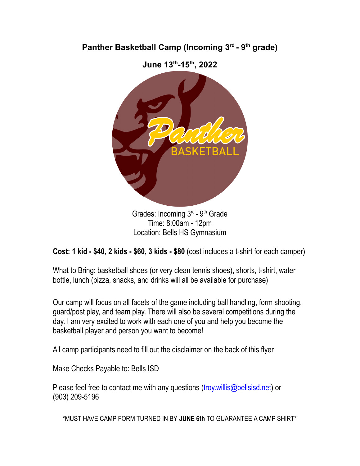## **Panther Basketball Camp (Incoming 3 rd - 9 th grade)**



Grades: Incoming 3<sup>rd</sup> - 9<sup>th</sup> Grade Time: 8:00am - 12pm Location: Bells HS Gymnasium

**Cost: 1 kid - \$40, 2 kids - \$60, 3 kids - \$80** (cost includes a t-shirt for each camper)

What to Bring: basketball shoes (or very clean tennis shoes), shorts, t-shirt, water bottle, lunch (pizza, snacks, and drinks will all be available for purchase)

Our camp will focus on all facets of the game including ball handling, form shooting, guard/post play, and team play. There will also be several competitions during the day. I am very excited to work with each one of you and help you become the basketball player and person you want to become!

All camp participants need to fill out the disclaimer on the back of this flyer

Make Checks Payable to: Bells ISD

Please feel free to contact me with any questions [\(troy.willis@bellsisd.net](mailto:troy.willis@bellsisd.net)) or (903) 209-5196

\*MUST HAVE CAMP FORM TURNED IN BY **JUNE 6th** TO GUARANTEE A CAMP SHIRT\*